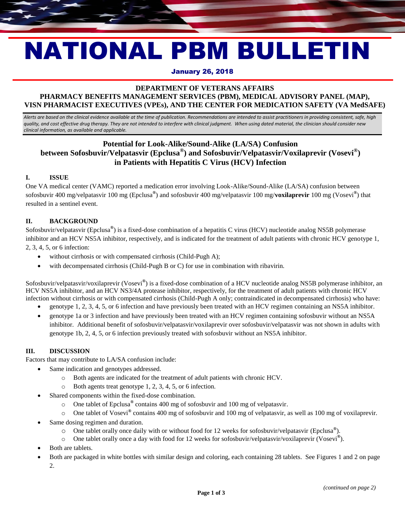# NATIONAL PBM BULLETIN

### January 26, 2018

# **DEPARTMENT OF VETERANS AFFAIRS PHARMACY BENEFITS MANAGEMENT SERVICES (PBM), MEDICAL ADVISORY PANEL (MAP), VISN PHARMACIST EXECUTIVES (VPEs), AND THE CENTER FOR MEDICATION SAFETY (VA MedSAFE)**

*Alerts are based on the clinical evidence available at the time of publication. Recommendations are intended to assist practitioners in providing consistent, safe, high quality, and cost effective drug therapy. They are not intended to interfere with clinical judgment. When using dated material, the clinician should consider new clinical information, as available and applicable.*

# **Potential for Look-Alike/Sound-Alike (LA/SA) Confusion between Sofosbuvir/Velpatasvir (Epclusa® ) and Sofosbuvir/Velpatasvir/Voxilaprevir (Vosevi® ) in Patients with Hepatitis C Virus (HCV) Infection**

### **I. ISSUE**

One VA medical center (VAMC) reported a medication error involving Look-Alike/Sound-Alike (LA/SA) confusion between sofosbuvir 400 mg/velpatasvir 100 mg (Epclusa**®** ) and sofosbuvir 400 mg/velpatasvir 100 mg/**voxilaprevir** 100 mg (Vosevi **®** ) that resulted in a sentinel event.

### **II. BACKGROUND**

Sofosbuvir/velpatasvir (Epclusa**®** ) is a fixed-dose combination of a hepatitis C virus (HCV) nucleotide analog NS5B polymerase inhibitor and an HCV NS5A inhibitor, respectively, and is indicated for the treatment of adult patients with chronic HCV genotype 1, 2, 3, 4, 5, or 6 infection:

- without cirrhosis or with compensated cirrhosis (Child-Pugh A);
- with decompensated cirrhosis (Child-Pugh B or C) for use in combination with ribavirin.

Sofosbuvir/velpatasvir/voxilaprevir (Vosevi**®** ) is a fixed-dose combination of a HCV nucleotide analog NS5B polymerase inhibitor, an HCV NS5A inhibitor, and an HCV NS3/4A protease inhibitor, respectively, for the treatment of adult patients with chronic HCV infection without cirrhosis or with compensated cirrhosis (Child-Pugh A only; contraindicated in decompensated cirrhosis) who have:

- genotype 1, 2, 3, 4, 5, or 6 infection and have previously been treated with an HCV regimen containing an NS5A inhibitor.
- genotype 1a or 3 infection and have previously been treated with an HCV regimen containing sofosbuvir without an NS5A inhibitor. Additional benefit of sofosbuvir/velpatasvir/voxilaprevir over sofosbuvir/velpatasvir was not shown in adults with genotype 1b, 2, 4, 5, or 6 infection previously treated with sofosbuvir without an NS5A inhibitor.

# **III. DISCUSSION**

Factors that may contribute to LA/SA confusion include:

- Same indication and genotypes addressed.
	- o Both agents are indicated for the treatment of adult patients with chronic HCV.
	- o Both agents treat genotype 1, 2, 3, 4, 5, or 6 infection.
- Shared components within the fixed-dose combination.
	- o One tablet of Epclusa**®** contains 400 mg of sofosbuvir and 100 mg of velpatasvir.
	- o One tablet of Vosevi**®** contains 400 mg of sofosbuvir and 100 mg of velpatasvir, as well as 100 mg of voxilaprevir.
- Same dosing regimen and duration.
	- o One tablet orally once daily with or without food for 12 weeks for sofosbuvir/velpatasvir (Epclusa**®** ).
	- o One tablet orally once a day with food for 12 weeks for sofosbuvir/velpatasvir/voxilaprevir (Vosevi**®** ).
- Both are tablets.
- Both are packaged in white bottles with similar design and coloring, each containing 28 tablets. See Figures 1 and 2 on page 2.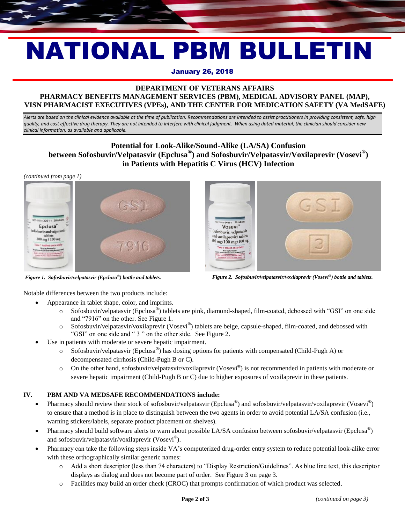# NATIONAL PBM BULLETIN

## January 26, 2018

# **DEPARTMENT OF VETERANS AFFAIRS PHARMACY BENEFITS MANAGEMENT SERVICES (PBM), MEDICAL ADVISORY PANEL (MAP), VISN PHARMACIST EXECUTIVES (VPEs), AND THE CENTER FOR MEDICATION SAFETY (VA MedSAFE)**

*Alerts are based on the clinical evidence available at the time of publication. Recommendations are intended to assist practitioners in providing consistent, safe, high quality, and cost effective drug therapy. They are not intended to interfere with clinical judgment. When using dated material, the clinician should consider new clinical information, as available and applicable.*

# **Potential for Look-Alike/Sound-Alike (LA/SA) Confusion between Sofosbuvir/Velpatasvir (Epclusa® ) and Sofosbuvir/Velpatasvir/Voxilaprevir (Vosevi® ) in Patients with Hepatitis C Virus (HCV) Infection**

*(continued from page 1)*



*Figure 1. Sofosbuvir/velpatasvir (Epclusa®*



*) bottle and tablets. Figure 2. Sofosbuvir/velpatasvir/voxilaprevir (Vosevi® ) bottle and tablets.*

Notable differences between the two products include:

- Appearance in tablet shape, color, and imprints.
	- o Sofosbuvir/velpatasvir (Epclusa**®** ) tablets are pink, diamond-shaped, film-coated, debossed with "GSI" on one side and "7916" on the other. See Figure 1.
	- o Sofosbuvir/velpatasvir/voxilaprevir (Vosevi**®** ) tablets are beige, capsule-shaped, film-coated, and debossed with "GSI" on one side and " 3 " on the other side. See Figure 2.
- Use in patients with moderate or severe hepatic impairment.
	- o Sofosbuvir/velpatasvir (Epclusa**®** ) has dosing options for patients with compensated (Child-Pugh A) or decompensated cirrhosis (Child-Pugh B or C).
	- o On the other hand, sofosbuvir/velpatasvir/voxilaprevir (Vosevi**®** ) is not recommended in patients with moderate or severe hepatic impairment (Child-Pugh B or C) due to higher exposures of voxilaprevir in these patients.

# **IV. PBM AND VA MEDSAFE RECOMMENDATIONS include:**

- Pharmacy should review their stock of sofosbuvir/velpatasvir (Epclusa<sup>®</sup>) and sofosbuvir/velpatasvir/voxilaprevir (Vosevi<sup>®</sup>) to ensure that a method is in place to distinguish between the two agents in order to avoid potential LA/SA confusion (i.e., warning stickers/labels, separate product placement on shelves).
- Pharmacy should build software alerts to warn about possible LA/SA confusion between sofosbuvir/velpatasvir (Epclusa<sup>®</sup>) and sofosbuvir/velpatasvir/voxilaprevir (Vosevi**®** ).
- Pharmacy can take the following steps inside VA's computerized drug-order entry system to reduce potential look-alike error with these orthographically similar generic names:
	- o Add a short descriptor (less than 74 characters) to "Display Restriction/Guidelines". As blue line text, this descriptor displays as dialog and does not become part of order. See Figure 3 on page 3.
	- o Facilities may build an order check (CROC) that prompts confirmation of which product was selected.